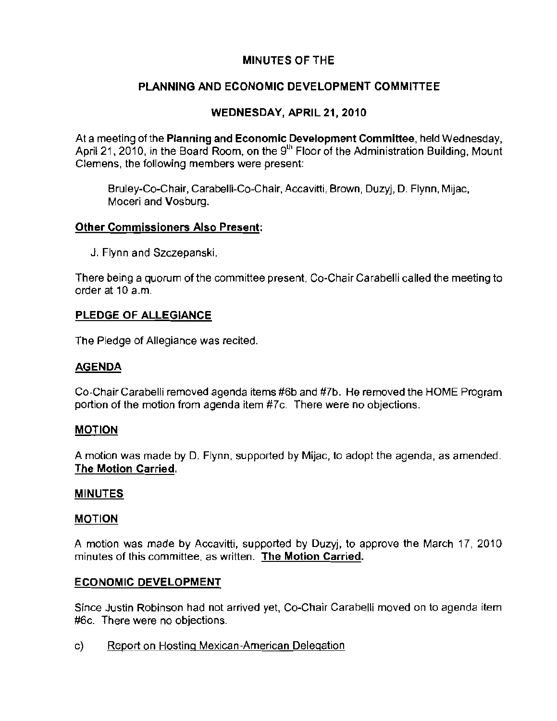# **MINUTES OF THE**

# **PLANNING AND ECONOMIC DEVELOPMENT COMMITTEE**

# **WEDNESDAY, APRIL 21,2010**

At a meeting 01 the **Planning and** Economic Development Committee, held Wednesday, April 21, 2010, in the Board Room, on the 9<sup>th</sup> Floor of the Administration Building, Mount Clemens, the following members were present:

Bruley-Co-Chair, Carabelli-Co-Chair, Accavitti, Brown, Duzyj, D. Flynn, Mijac, Moceri and Vosburg.

### **Other Commissioners Also Present:**

J. Flynn and Szczepanski.

There being a quorum of the committee present, Co-Chair Carabelli called the meeting to order at 10 a.m.

## **PLEDGE OF ALLEGIANCE**

The Pledge of Allegiance was recited.

## **AGENDA**

Co-Chair Carabelli removed agenda items #6b and #7b. He removed the HOME Program **portion of the motion from agenda item #7c. There were no objections.** 

## **MOTION**

A molion was made by D. Flynn, supported by Mijac, to adopt the agenda, as amended. The **Motion** Carried,

#### **MINUTES**

#### **MOTION**

A motion was made by Accavitti, supported by Duzyj, to approve the March 17, 2010 **minutes of this committee, as written. The Motion Carried.** 

## **ECONOMIC DEVELOPMENT**

Since Justin Robinson had not arrived yet, Co-Chair Carabelli moved on to agenda item **#6c. There were no objections.** 

**c) Report on Hosting Mexican-American Delegation**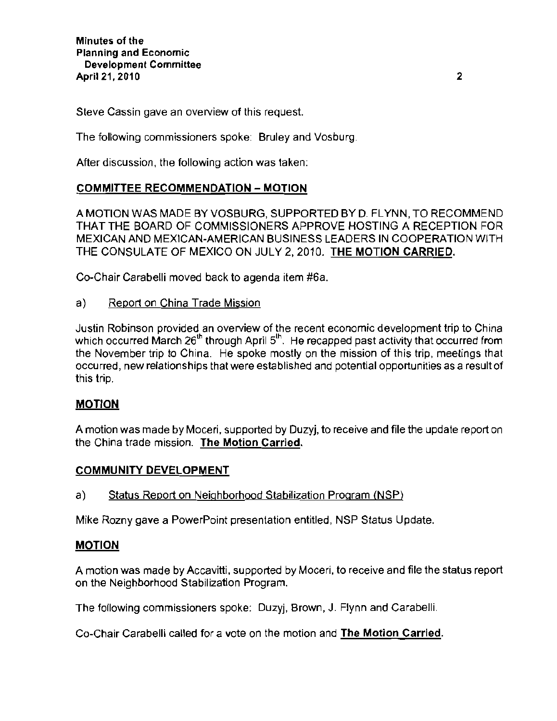Steve Cassin gave an overview of this request.

The following commissioners spoke: Bruley and Vosburg.

**After discussion, the following action was taken:** 

## COMMITTEE RECOMMENDATION - MOTION

A MOTION WAS MADE BY VOSBURG, SUPPORTED BY D. FLYNN, TO RECOMMEND THAT THE BOARD OF COMMISSIONERS APPROVE HOSTING A RECEPTION FOR MEXICAN AND MEXICAN-AMERICAN BUSINESS LEADERS IN COOPERATION WITH THE CONSULATE OF MEXICO ON JULY 2,2010. THE MOTION CARRIED.

Co-Chair Carabelli moved back to agenda item #6a.

a) Report on China Trade Mission

Justin Robinson provided an overview of the recent economic development trip to China which occurred March  $26<sup>th</sup>$  through April  $5<sup>th</sup>$ . He recapped past activity that occurred from the November trip to China. He spoke mostly on the mission of this trip, meetings that **occurred, new relationships that were established and potential opportunities as a** result of this trip.

## MOTION

A motion was made by Moceri, supported by Duzyj, to receive and file the update report on the China trade mission. The Motion Carried.

## COMMUNITY DEVELOPMENT

a) Status Report on Neighborhood Stabilization Program (NSP)

Mike Rozny gave a PowerPoint presentation entitled, NSP Status Update.

#### MOTION

A motion was made by Accavitti, supported by Moceri, to receive and file the status report on the Neighborhood Stabilization Program.

The following commissioners spoke: Duzyj, Brown, J. Flynn and Carabelli.

Co-Chair Carabelli cailed for a vote on the motion and The Motion Carried.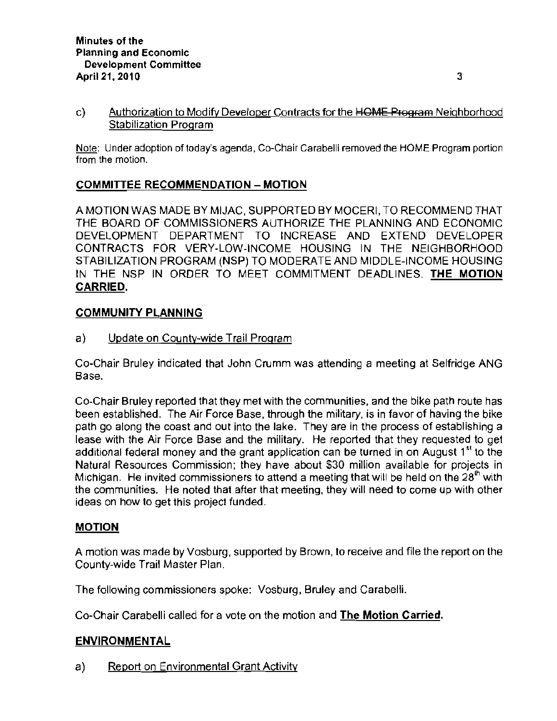c) Authorization to Modify Developer Contracts for the HOME Program Neighborhood **Stabilization Program** 

Note: Under adoption of today's agenda, Co-Chair Carabelli removed the HOME Program portion **from the motion.** 

# **COMMITTEE RECOMMENDATION - MOTION**

A MOTION WAS MADE BY MIJAC, SUPPORTED BY MOCERI, **TO** RECOMMEND THAT THE BOARD OF COMMISSIONERS AUTHORIZE THE PLANNING AND ECONOMIC DEVELOPMENT DEPARTMENT TO INCREASE AND EXTEND DEVELOPER CONTRACTS FOR VERY-LOW-INCOME HOUSING IN THE NEIGHBORHOOD STABILIZATION PROGRAM (NSP) TO MODERATE AND MIDDLE-INCOME HOUSING IN THE NSP IN ORDER TO MEET COMMITMENT DEADLINES. **THE MOTION CARRIED.** 

### **COMMUNITY PLANNING**

a) Update on County-wide Trail Program

Co-Chair Bruley indicated that John Crumm was attending a meeting at Selfridge ANG **Base.** 

Co-Chair Bruley reported that they met with the communities, and the bike path route has been established. The Air Force Base, through the military, is in favor of having the bike path go along the coast and out into the lake. They are **in** the process of establishing a lease with the Air Force Base and the military. He reported that they requested to get additional federal money and the grant application can be turned in on August 1<sup>st</sup> to the Natural Resources Commission; they have about \$30 million available for projects in **Michigan. He invited commissioners to attend a meeting that will be held on the 28lh with the communities. He noted that after that meeting, they will need to come up with other**  ideas on how to get this project funded.

#### **MOTION**

A motion was made by Vosburg, supported by Brown, to receive and file the report on the County-wide Trail Master Plan.

The following commissioners spoke: Vosburg, Bruley and Carabelli.

Co-Chair Carabelli called for a vote on the motion and **The Motion Carried.** 

#### **ENVIRONMENTAL**

a) Report on Environmental Grant Activity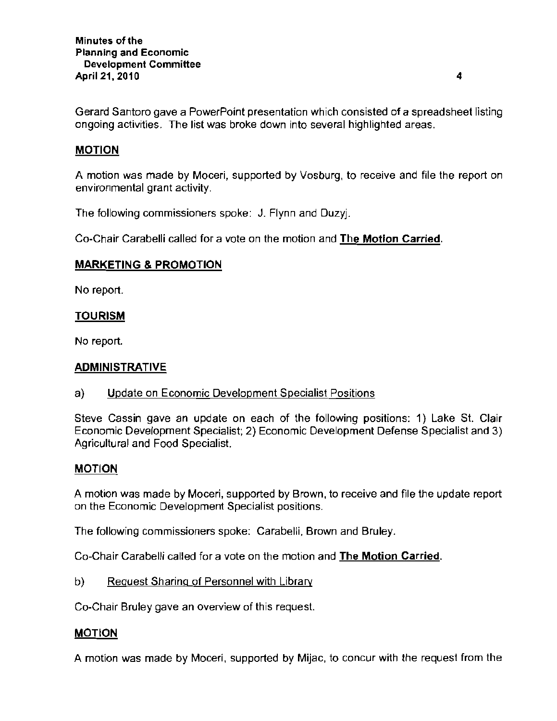**Gerard Santoro gave a PowerPoint presentation which consisted of a spreadsheet listing ongoing activities. The list was broke down into several highlighted areas.** 

## **MOTION**

A motion was made by Moceri, supported by Vosburg, to receive and file the report on **environmental grant activity.** 

The following commissioners spoke: J. Flynn and Duzyj.

Co-Chair Carabelli called for a vote on the motion and The **Motion** Carried,

### **MARKETING & PROMOTION**

No report.

### **TOURISM**

No report.

#### **ADMINISTRATIVE**

**a) Update on Economic Development Specialist Positions** 

Steve Cassin gave an update on each of the following positions: 1) Lake St. Clair Economic Development Specialist; 2) Economic Development Defense Specialist and 3) Agricultural and Food Specialist.

#### **MOTION**

**A motion was made by Moceri, supported by Brown, to receive and file the update report on the Economic Development Specialist positions.** 

**The following commissioners spoke: Carabelli, Brown and Bruley.** 

**Co-Chair Carabelli called for a vote on the motion and The Motion Carried.** 

b) Reguest Sharing of Personnel with Library

**Co-Chair Bruley gave an overview of this request.** 

#### **MOTION**

A motion was made by Moceri, supported by Mijac, to concur with the request from the